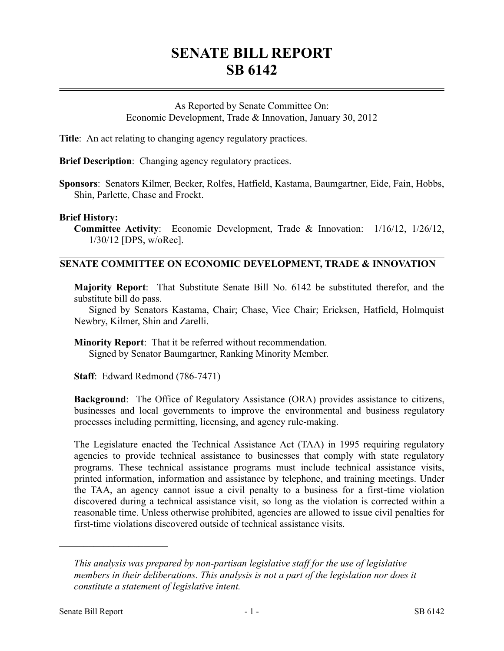# **SENATE BILL REPORT SB 6142**

As Reported by Senate Committee On: Economic Development, Trade & Innovation, January 30, 2012

**Title**: An act relating to changing agency regulatory practices.

**Brief Description**: Changing agency regulatory practices.

**Sponsors**: Senators Kilmer, Becker, Rolfes, Hatfield, Kastama, Baumgartner, Eide, Fain, Hobbs, Shin, Parlette, Chase and Frockt.

## **Brief History:**

**Committee Activity**: Economic Development, Trade & Innovation: 1/16/12, 1/26/12, 1/30/12 [DPS, w/oRec].

# **SENATE COMMITTEE ON ECONOMIC DEVELOPMENT, TRADE & INNOVATION**

**Majority Report**: That Substitute Senate Bill No. 6142 be substituted therefor, and the substitute bill do pass.

Signed by Senators Kastama, Chair; Chase, Vice Chair; Ericksen, Hatfield, Holmquist Newbry, Kilmer, Shin and Zarelli.

**Minority Report**: That it be referred without recommendation. Signed by Senator Baumgartner, Ranking Minority Member.

**Staff**: Edward Redmond (786-7471)

**Background**: The Office of Regulatory Assistance (ORA) provides assistance to citizens, businesses and local governments to improve the environmental and business regulatory processes including permitting, licensing, and agency rule-making.

The Legislature enacted the Technical Assistance Act (TAA) in 1995 requiring regulatory agencies to provide technical assistance to businesses that comply with state regulatory programs. These technical assistance programs must include technical assistance visits, printed information, information and assistance by telephone, and training meetings. Under the TAA, an agency cannot issue a civil penalty to a business for a first-time violation discovered during a technical assistance visit, so long as the violation is corrected within a reasonable time. Unless otherwise prohibited, agencies are allowed to issue civil penalties for first-time violations discovered outside of technical assistance visits.

––––––––––––––––––––––

*This analysis was prepared by non-partisan legislative staff for the use of legislative members in their deliberations. This analysis is not a part of the legislation nor does it constitute a statement of legislative intent.*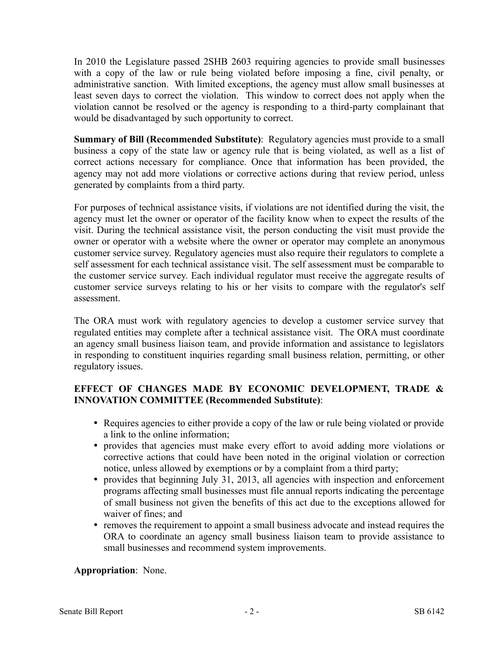In 2010 the Legislature passed 2SHB 2603 requiring agencies to provide small businesses with a copy of the law or rule being violated before imposing a fine, civil penalty, or administrative sanction. With limited exceptions, the agency must allow small businesses at least seven days to correct the violation. This window to correct does not apply when the violation cannot be resolved or the agency is responding to a third-party complainant that would be disadvantaged by such opportunity to correct.

**Summary of Bill (Recommended Substitute)**: Regulatory agencies must provide to a small business a copy of the state law or agency rule that is being violated, as well as a list of correct actions necessary for compliance. Once that information has been provided, the agency may not add more violations or corrective actions during that review period, unless generated by complaints from a third party.

For purposes of technical assistance visits, if violations are not identified during the visit, the agency must let the owner or operator of the facility know when to expect the results of the visit. During the technical assistance visit, the person conducting the visit must provide the owner or operator with a website where the owner or operator may complete an anonymous customer service survey. Regulatory agencies must also require their regulators to complete a self assessment for each technical assistance visit. The self assessment must be comparable to the customer service survey. Each individual regulator must receive the aggregate results of customer service surveys relating to his or her visits to compare with the regulator's self assessment.

The ORA must work with regulatory agencies to develop a customer service survey that regulated entities may complete after a technical assistance visit. The ORA must coordinate an agency small business liaison team, and provide information and assistance to legislators in responding to constituent inquiries regarding small business relation, permitting, or other regulatory issues.

# **EFFECT OF CHANGES MADE BY ECONOMIC DEVELOPMENT, TRADE & INNOVATION COMMITTEE (Recommended Substitute)**:

- Requires agencies to either provide a copy of the law or rule being violated or provide a link to the online information;
- provides that agencies must make every effort to avoid adding more violations or corrective actions that could have been noted in the original violation or correction notice, unless allowed by exemptions or by a complaint from a third party;
- provides that beginning July 31, 2013, all agencies with inspection and enforcement programs affecting small businesses must file annual reports indicating the percentage of small business not given the benefits of this act due to the exceptions allowed for waiver of fines; and
- removes the requirement to appoint a small business advocate and instead requires the ORA to coordinate an agency small business liaison team to provide assistance to small businesses and recommend system improvements.

# **Appropriation**: None.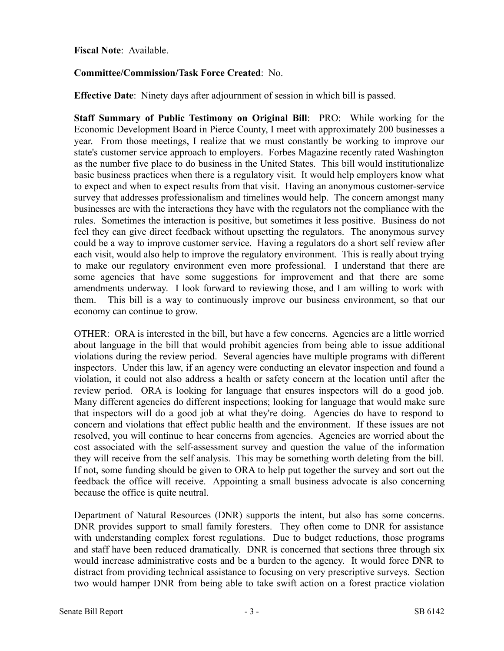#### **Fiscal Note**: Available.

## **Committee/Commission/Task Force Created**: No.

**Effective Date**: Ninety days after adjournment of session in which bill is passed.

**Staff Summary of Public Testimony on Original Bill**: PRO: While working for the Economic Development Board in Pierce County, I meet with approximately 200 businesses a year. From those meetings, I realize that we must constantly be working to improve our state's customer service approach to employers. Forbes Magazine recently rated Washington as the number five place to do business in the United States. This bill would institutionalize basic business practices when there is a regulatory visit. It would help employers know what to expect and when to expect results from that visit. Having an anonymous customer-service survey that addresses professionalism and timelines would help. The concern amongst many businesses are with the interactions they have with the regulators not the compliance with the rules. Sometimes the interaction is positive, but sometimes it less positive. Business do not feel they can give direct feedback without upsetting the regulators. The anonymous survey could be a way to improve customer service. Having a regulators do a short self review after each visit, would also help to improve the regulatory environment. This is really about trying to make our regulatory environment even more professional. I understand that there are some agencies that have some suggestions for improvement and that there are some amendments underway. I look forward to reviewing those, and I am willing to work with them. This bill is a way to continuously improve our business environment, so that our economy can continue to grow.

OTHER: ORA is interested in the bill, but have a few concerns. Agencies are a little worried about language in the bill that would prohibit agencies from being able to issue additional violations during the review period. Several agencies have multiple programs with different inspectors. Under this law, if an agency were conducting an elevator inspection and found a violation, it could not also address a health or safety concern at the location until after the review period. ORA is looking for language that ensures inspectors will do a good job. Many different agencies do different inspections; looking for language that would make sure that inspectors will do a good job at what they're doing. Agencies do have to respond to concern and violations that effect public health and the environment. If these issues are not resolved, you will continue to hear concerns from agencies. Agencies are worried about the cost associated with the self-assessment survey and question the value of the information they will receive from the self analysis. This may be something worth deleting from the bill. If not, some funding should be given to ORA to help put together the survey and sort out the feedback the office will receive. Appointing a small business advocate is also concerning because the office is quite neutral.

Department of Natural Resources (DNR) supports the intent, but also has some concerns. DNR provides support to small family foresters. They often come to DNR for assistance with understanding complex forest regulations. Due to budget reductions, those programs and staff have been reduced dramatically. DNR is concerned that sections three through six would increase administrative costs and be a burden to the agency. It would force DNR to distract from providing technical assistance to focusing on very prescriptive surveys. Section two would hamper DNR from being able to take swift action on a forest practice violation